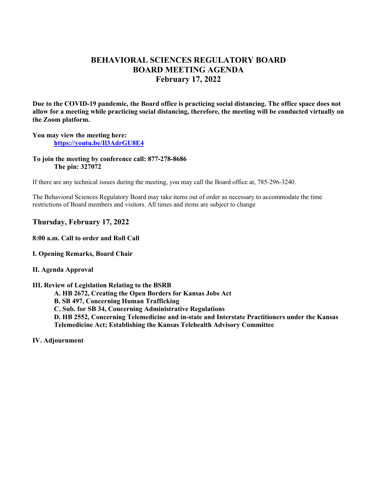# **BEHAVIORAL SCIENCES REGULATORY BOARD BOARD MEETING AGENDA February 17, 2022**

**Due to the COVID-19 pandemic, the Board office is practicing social distancing. The office space does not allow for a meeting while practicing social distancing, therefore, the meeting will be conducted virtually on the Zoom platform.** 

## **You may view the meeting here: <https://youtu.be/Il3AdrGU8E4>**

**To join the meeting by conference call: 877-278-8686 The pin: 327072** 

If there are any technical issues during the meeting, you may call the Board office at, 785-296-3240.

The Behavioral Sciences Regulatory Board may take items out of order as necessary to accommodate the time restrictions of Board members and visitors. All times and items are subject to change

# **Thursday, February 17, 2022**

**8:00 a.m. Call to order and Roll Call** 

**I. Opening Remarks, Board Chair** 

#### **II. Agenda Approval**

#### **III. Review of Legislation Relating to the BSRB**

- **A. HB 2672, Creating the Open Borders for Kansas Jobs Act**
- **B. SB 497, Concerning Human Trafficking**

**C. Sub. for SB 34, Concerning Administrative Regulations**

**D. HB 2552, Concerning Telemedicine and in-state and Interstate Practitioners under the Kansas Telemedicine Act; Establishing the Kansas Telehealth Advisory Committee**

**IV. Adjournment**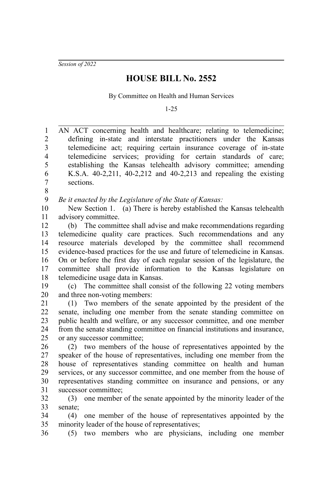*Session of 2022*

36

## **HOUSE BILL No. 2552**

By Committee on Health and Human Services

1-25

AN ACT concerning health and healthcare; relating to telemedicine; defining in-state and interstate practitioners under the Kansas telemedicine act; requiring certain insurance coverage of in-state telemedicine services; providing for certain standards of care; establishing the Kansas telehealth advisory committee; amending K.S.A. 40-2,211, 40-2,212 and 40-2,213 and repealing the existing sections. *Be it enacted by the Legislature of the State of Kansas:* New Section 1. (a) There is hereby established the Kansas telehealth advisory committee. (b) The committee shall advise and make recommendations regarding telemedicine quality care practices. Such recommendations and any resource materials developed by the committee shall recommend evidence-based practices for the use and future of telemedicine in Kansas. On or before the first day of each regular session of the legislature, the committee shall provide information to the Kansas legislature on telemedicine usage data in Kansas. (c) The committee shall consist of the following 22 voting members and three non-voting members: (1) Two members of the senate appointed by the president of the senate, including one member from the senate standing committee on public health and welfare, or any successor committee, and one member from the senate standing committee on financial institutions and insurance, or any successor committee; (2) two members of the house of representatives appointed by the speaker of the house of representatives, including one member from the house of representatives standing committee on health and human services, or any successor committee, and one member from the house of representatives standing committee on insurance and pensions, or any successor committee; (3) one member of the senate appointed by the minority leader of the senate; (4) one member of the house of representatives appointed by the minority leader of the house of representatives; 1 2 3 4 5 6 7 8 9 10 11 12 13 14 15 16 17 18 19 20 21 22 23 24 25 26 27 28 29 30 31 32 33 34 35

(5) two members who are physicians, including one member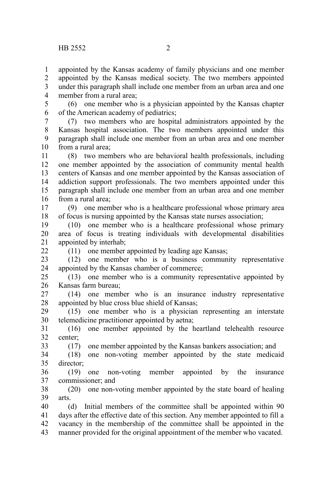$22$ 

33

appointed by the Kansas academy of family physicians and one member appointed by the Kansas medical society. The two members appointed under this paragraph shall include one member from an urban area and one member from a rural area; 1 2 3 4

(6) one member who is a physician appointed by the Kansas chapter of the American academy of pediatrics; 5 6

(7) two members who are hospital administrators appointed by the Kansas hospital association. The two members appointed under this paragraph shall include one member from an urban area and one member from a rural area; 7 8 9 10

(8) two members who are behavioral health professionals, including one member appointed by the association of community mental health centers of Kansas and one member appointed by the Kansas association of addiction support professionals. The two members appointed under this paragraph shall include one member from an urban area and one member from a rural area; 11 12 13 14 15 16

(9) one member who is a healthcare professional whose primary area of focus is nursing appointed by the Kansas state nurses association; 17 18

(10) one member who is a healthcare professional whose primary area of focus is treating individuals with developmental disabilities appointed by interhab; 19 20 21

(11) one member appointed by leading age Kansas;

(12) one member who is a business community representative appointed by the Kansas chamber of commerce; 23 24

(13) one member who is a community representative appointed by Kansas farm bureau; 25 26

(14) one member who is an insurance industry representative appointed by blue cross blue shield of Kansas; 27 28

(15) one member who is a physician representing an interstate telemedicine practitioner appointed by aetna; 29 30

(16) one member appointed by the heartland telehealth resource center; 31 32

(17) one member appointed by the Kansas bankers association; and

(18) one non-voting member appointed by the state medicaid director; 34 35

(19) one non-voting member appointed by the insurance commissioner; and 36 37

(20) one non-voting member appointed by the state board of healing arts. 38 39

(d) Initial members of the committee shall be appointed within 90 days after the effective date of this section. Any member appointed to fill a vacancy in the membership of the committee shall be appointed in the manner provided for the original appointment of the member who vacated. 40 41 42 43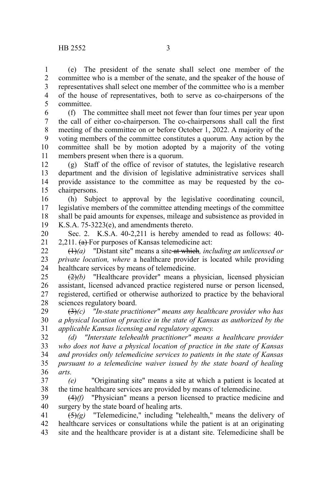(e) The president of the senate shall select one member of the committee who is a member of the senate, and the speaker of the house of representatives shall select one member of the committee who is a member of the house of representatives, both to serve as co-chairpersons of the committee. 1 2 3 4 5

(f) The committee shall meet not fewer than four times per year upon the call of either co-chairperson. The co-chairpersons shall call the first meeting of the committee on or before October 1, 2022. A majority of the voting members of the committee constitutes a quorum. Any action by the committee shall be by motion adopted by a majority of the voting members present when there is a quorum. 6 7 8 9 10 11

(g) Staff of the office of revisor of statutes, the legislative research department and the division of legislative administrative services shall provide assistance to the committee as may be requested by the cochairpersons. 12 13 14 15

(h) Subject to approval by the legislative coordinating council, legislative members of the committee attending meetings of the committee shall be paid amounts for expenses, mileage and subsistence as provided in K.S.A. 75-3223(e), and amendments thereto. 16 17 18 19

Sec. 2. K.S.A. 40-2,211 is hereby amended to read as follows: 40- 2,211.  $(a)$  For purposes of Kansas telemedicine act: 20 21

(1)*(a)* "Distant site" means a site at which*, including an unlicensed or private location, where* a healthcare provider is located while providing healthcare services by means of telemedicine. 22 23 24

(2)*(b)* "Healthcare provider" means a physician, licensed physician assistant, licensed advanced practice registered nurse or person licensed, registered, certified or otherwise authorized to practice by the behavioral sciences regulatory board. 25 26 27 28

(3)*(c) "In-state practitioner" means any healthcare provider who has a physical location of practice in the state of Kansas as authorized by the applicable Kansas licensing and regulatory agency.* 29 30 31

*(d) "Interstate telehealth practitioner" means a healthcare provider who does not have a physical location of practice in the state of Kansas and provides only telemedicine services to patients in the state of Kansas pursuant to a telemedicine waiver issued by the state board of healing arts.* 32 33 34 35 36

*(e)*  "Originating site" means a site at which a patient is located at the time healthcare services are provided by means of telemedicine. 37 38

(4)*(f)* "Physician" means a person licensed to practice medicine and surgery by the state board of healing arts. 39 40

 $\overline{(5)}(g)$  "Telemedicine," including "telehealth," means the delivery of healthcare services or consultations while the patient is at an originating site and the healthcare provider is at a distant site. Telemedicine shall be 41 42 43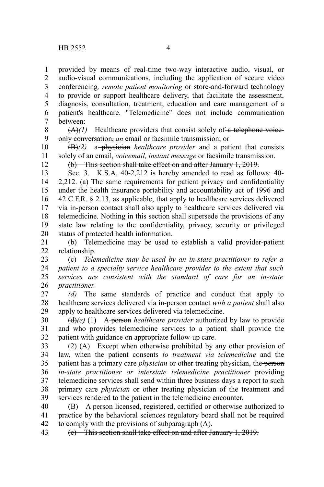provided by means of real-time two-way interactive audio, visual, or audio-visual communications, including the application of secure video conferencing*, remote patient monitoring* or store-and-forward technology to provide or support healthcare delivery, that facilitate the assessment, diagnosis, consultation, treatment, education and care management of a patient's healthcare. "Telemedicine" does not include communication between: 1 2 3 4 5 6 7

 $(A)(1)$  Healthcare providers that consist solely of a telephone voiceonly conversation, *an* email or facsimile transmission; or 8 9

(B)*(2)* a physician *healthcare provider* and a patient that consists solely of an email*, voicemail, instant message* or facsimile transmission. 10 11

12

(b) This section shall take effect on and after January 1, 2019.

Sec. 3. K.S.A. 40-2,212 is hereby amended to read as follows: 40- 2,212. (a) The same requirements for patient privacy and confidentiality under the health insurance portability and accountability act of 1996 and 42 C.F.R. § 2.13, as applicable, that apply to healthcare services delivered via in-person contact shall also apply to healthcare services delivered via telemedicine. Nothing in this section shall supersede the provisions of any state law relating to the confidentiality, privacy, security or privileged status of protected health information. 13 14 15 16 17 18 19 20

(b) Telemedicine may be used to establish a valid provider-patient relationship. 21 22

(c) *Telemedicine may be used by an in-state practitioner to refer a patient to a specialty service healthcare provider to the extent that such services are consistent with the standard of care for an in-state practitioner.* 23 24 25 26

*(d)* The same standards of practice and conduct that apply to healthcare services delivered via in-person contact *with a patient* shall also apply to healthcare services delivered via telemedicine. 27 28 29

(d)*(e)* (1) A person *healthcare provider* authorized by law to provide and who provides telemedicine services to a patient shall provide the patient with guidance on appropriate follow-up care. 30 31 32

(2) (A) Except when otherwise prohibited by any other provision of law, when the patient consents *to treatment via telemedicine* and the patient has a primary care *physician* or other treating physician, the person *in-state practitioner or interstate telemedicine practitioner* providing telemedicine services shall send within three business days a report to such primary care *physician* or other treating physician of the treatment and services rendered to the patient in the telemedicine encounter. 33 34 35 36 37 38 39

(B) A person licensed, registered, certified or otherwise authorized to practice by the behavioral sciences regulatory board shall not be required to comply with the provisions of subparagraph (A). 40 41 42

(e) This section shall take effect on and after January 1, 2019. 43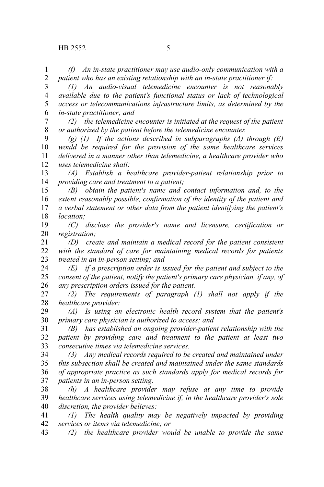*(f) An in-state practitioner may use audio-only communication with a patient who has an existing relationship with an in-state practitioner if:* 1 2

*(1) An audio-visual telemedicine encounter is not reasonably available due to the patient's functional status or lack of technological access or telecommunications infrastructure limits, as determined by the in-state practitioner; and* 3 4 5 6

*(2) the telemedicine encounter is initiated at the request of the patient or authorized by the patient before the telemedicine encounter.* 7 8

*(g) (1) If the actions described in subparagraphs (A) through (E) would be required for the provision of the same healthcare services delivered in a manner other than telemedicine, a healthcare provider who uses telemedicine shall:* 9 10 11 12

*(A) Establish a healthcare provider-patient relationship prior to providing care and treatment to a patient;* 13 14

*(B) obtain the patient's name and contact information and, to the extent reasonably possible, confirmation of the identity of the patient and a verbal statement or other data from the patient identifying the patient's location;* 15 16 17 18

*(C) disclose the provider's name and licensure, certification or registration;* 19 20

*(D) create and maintain a medical record for the patient consistent with the standard of care for maintaining medical records for patients treated in an in-person setting; and* 21 22 23

*(E) if a prescription order is issued for the patient and subject to the consent of the patient, notify the patient's primary care physician, if any, of any prescription orders issued for the patient.* 24 25 26

*(2) The requirements of paragraph (1) shall not apply if the healthcare provider:* 27 28

*(A) Is using an electronic health record system that the patient's primary care physician is authorized to access; and* 29 30

*(B) has established an ongoing provider-patient relationship with the patient by providing care and treatment to the patient at least two consecutive times via telemedicine services.* 31 32 33

*(3) Any medical records required to be created and maintained under this subsection shall be created and maintained under the same standards of appropriate practice as such standards apply for medical records for patients in an in-person setting.* 34 35 36 37

*(h) A healthcare provider may refuse at any time to provide healthcare services using telemedicine if, in the healthcare provider's sole discretion, the provider believes:* 38 39 40

*(1) The health quality may be negatively impacted by providing services or items via telemedicine; or* 41 42

*(2) the healthcare provider would be unable to provide the same* 43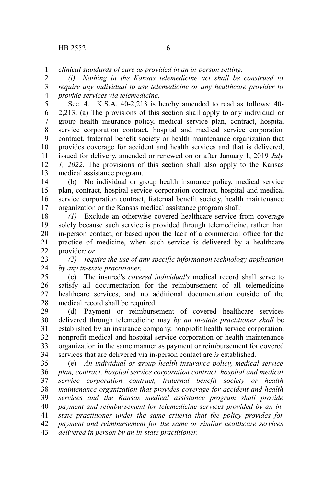*clinical standards of care as provided in an in-person setting.* 1

*(i) Nothing in the Kansas telemedicine act shall be construed to require any individual to use telemedicine or any healthcare provider to provide services via telemedicine.* 2 3 4

Sec. 4. K.S.A. 40-2,213 is hereby amended to read as follows: 40- 2,213. (a) The provisions of this section shall apply to any individual or group health insurance policy, medical service plan, contract, hospital service corporation contract, hospital and medical service corporation contract, fraternal benefit society or health maintenance organization that provides coverage for accident and health services and that is delivered, issued for delivery, amended or renewed on or after January 1, 2019 *July 1, 2022*. The provisions of this section shall also apply to the Kansas medical assistance program. 5 6 7 8 9 10 11 12 13

(b) No individual or group health insurance policy, medical service plan, contract, hospital service corporation contract, hospital and medical service corporation contract, fraternal benefit society, health maintenance organization or the Kansas medical assistance program shall*:* 14 15 16 17

*(1)* Exclude an otherwise covered healthcare service from coverage solely because such service is provided through telemedicine, rather than in-person contact, or based upon the lack of a commercial office for the practice of medicine, when such service is delivered by a healthcare provider*; or* 18 19 20 21 22

*(2) require the use of any specific information technology application by any in-state practitioner*. 23 24

(c) The insured's *covered individual's* medical record shall serve to satisfy all documentation for the reimbursement of all telemedicine healthcare services, and no additional documentation outside of the medical record shall be required. 25 26 27 28

(d) Payment or reimbursement of covered healthcare services delivered through telemedicine may *by an in-state practitioner shall* be established by an insurance company, nonprofit health service corporation, nonprofit medical and hospital service corporation or health maintenance organization in the same manner as payment or reimbursement for covered services that are delivered via in-person contact are *is* established. 29 30 31 32 33 34

(e) *An individual or group health insurance policy, medical service plan, contract, hospital service corporation contract, hospital and medical service corporation contract, fraternal benefit society or health maintenance organization that provides coverage for accident and health services and the Kansas medical assistance program shall provide payment and reimbursement for telemedicine services provided by an instate practitioner under the same criteria that the policy provides for payment and reimbursement for the same or similar healthcare services delivered in person by an in-state practitioner.* 35 36 37 38 39 40 41 42 43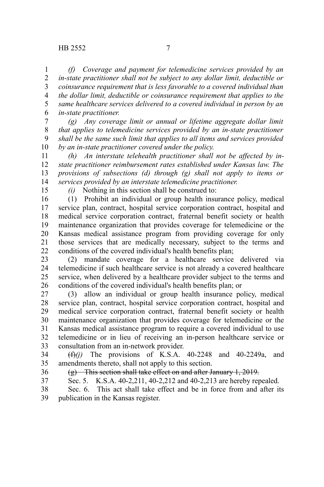*(f) Coverage and payment for telemedicine services provided by an in-state practitioner shall not be subject to any dollar limit, deductible or coinsurance requirement that is less favorable to a covered individual than the dollar limit, deductible or coinsurance requirement that applies to the same healthcare services delivered to a covered individual in person by an in-state practitioner.* 1 2 3 4 5 6

*(g) Any coverage limit or annual or lifetime aggregate dollar limit that applies to telemedicine services provided by an in-state practitioner shall be the same such limit that applies to all items and services provided by an in-state practitioner covered under the policy.* 7 8 9 10

*(h) An interstate telehealth practitioner shall not be affected by instate practitioner reimbursement rates established under Kansas law. The provisions of subsections (d) through (g) shall not apply to items or services provided by an interstate telemedicine practitioner.* 11 12 13 14

15

*(i)* Nothing in this section shall be construed to:

(1) Prohibit an individual or group health insurance policy, medical service plan, contract, hospital service corporation contract, hospital and medical service corporation contract, fraternal benefit society or health maintenance organization that provides coverage for telemedicine or the Kansas medical assistance program from providing coverage for only those services that are medically necessary, subject to the terms and conditions of the covered individual's health benefits plan; 16 17 18 19 20 21 22

(2) mandate coverage for a healthcare service delivered via telemedicine if such healthcare service is not already a covered healthcare service, when delivered by a healthcare provider subject to the terms and conditions of the covered individual's health benefits plan; or 23 24 25 26

(3) allow an individual or group health insurance policy, medical service plan, contract, hospital service corporation contract, hospital and medical service corporation contract, fraternal benefit society or health maintenance organization that provides coverage for telemedicine or the Kansas medical assistance program to require a covered individual to use telemedicine or in lieu of receiving an in-person healthcare service or consultation from an in-network provider. 27 28 29 30 31 32 33

(f)*(j)* The provisions of K.S.A. 40-2248 and 40-2249a, and amendments thereto, shall not apply to this section. 34 35

- 36
- 37

(g) This section shall take effect on and after January 1, 2019.

Sec. 5. K.S.A. 40-2,211, 40-2,212 and 40-2,213 are hereby repealed.

Sec. 6. This act shall take effect and be in force from and after its publication in the Kansas register. 38 39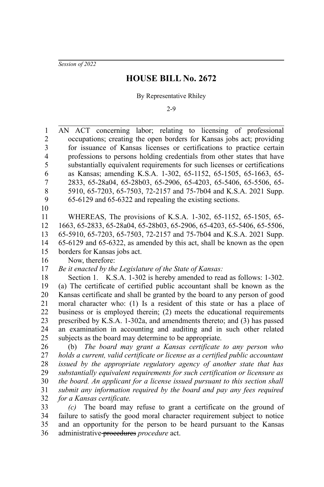*Session of 2022*

#### **HOUSE BILL No. 2672**

By Representative Rhiley

2-9

AN ACT concerning labor; relating to licensing of professional occupations; creating the open borders for Kansas jobs act; providing for issuance of Kansas licenses or certifications to practice certain professions to persons holding credentials from other states that have substantially equivalent requirements for such licenses or certifications as Kansas; amending K.S.A. 1-302, 65-1152, 65-1505, 65-1663, 65- 2833, 65-28a04, 65-28b03, 65-2906, 65-4203, 65-5406, 65-5506, 65- 5910, 65-7203, 65-7503, 72-2157 and 75-7b04 and K.S.A. 2021 Supp. 65-6129 and 65-6322 and repealing the existing sections. WHEREAS, The provisions of K.S.A. 1-302, 65-1152, 65-1505, 65- 1663, 65-2833, 65-28a04, 65-28b03, 65-2906, 65-4203, 65-5406, 65-5506, 65-5910, 65-7203, 65-7503, 72-2157 and 75-7b04 and K.S.A. 2021 Supp. 65-6129 and 65-6322, as amended by this act, shall be known as the open borders for Kansas jobs act. Now, therefore: *Be it enacted by the Legislature of the State of Kansas:* Section 1. K.S.A. 1-302 is hereby amended to read as follows: 1-302. (a) The certificate of certified public accountant shall be known as the Kansas certificate and shall be granted by the board to any person of good moral character who: (1) Is a resident of this state or has a place of business or is employed therein; (2) meets the educational requirements prescribed by K.S.A. 1-302a, and amendments thereto; and (3) has passed an examination in accounting and auditing and in such other related subjects as the board may determine to be appropriate. (b) *The board may grant a Kansas certificate to any person who holds a current, valid certificate or license as a certified public accountant issued by the appropriate regulatory agency of another state that has substantially equivalent requirements for such certification or licensure as the board. An applicant for a license issued pursuant to this section shall submit any information required by the board and pay any fees required for a Kansas certificate. (c)* The board may refuse to grant a certificate on the ground of 1 2 3 4 5 6 7 8 9 10 11 12 13 14 15 16 17 18 19 20 21 22 23 24 25 26 27 28 29 30 31 32 33

failure to satisfy the good moral character requirement subject to notice and an opportunity for the person to be heard pursuant to the Kansas administrative procedures *procedure* act. 34 35 36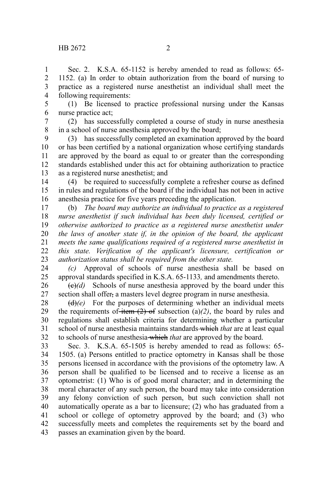Sec. 2. K.S.A. 65-1152 is hereby amended to read as follows: 65- 1152. (a) In order to obtain authorization from the board of nursing to practice as a registered nurse anesthetist an individual shall meet the following requirements: 1 2 3 4

(1) Be licensed to practice professional nursing under the Kansas nurse practice act; 5 6

(2) has successfully completed a course of study in nurse anesthesia in a school of nurse anesthesia approved by the board; 7 8

(3) has successfully completed an examination approved by the board or has been certified by a national organization whose certifying standards are approved by the board as equal to or greater than the corresponding standards established under this act for obtaining authorization to practice as a registered nurse anesthetist; and 9 10 11 12 13

(4) be required to successfully complete a refresher course as defined in rules and regulations of the board if the individual has not been in active anesthesia practice for five years preceding the application. 14 15 16

(b) *The board may authorize an individual to practice as a registered nurse anesthetist if such individual has been duly licensed, certified or otherwise authorized to practice as a registered nurse anesthetist under the laws of another state if, in the opinion of the board, the applicant meets the same qualifications required of a registered nurse anesthetist in this state. Verification of the applicant's licensure, certification or authorization status shall be required from the other state.* 17 18 19 20 21 22 23

*(c)* Approval of schools of nurse anesthesia shall be based on approval standards specified in K.S.A. 65-1133*,* and amendments thereto. 24 25

 $\left(\frac{e}{e}\right)$  Schools of nurse anesthesia approved by the board under this section shall offer, a masters level degree program in nurse anesthesia. 26 27

(d)*(e)* For the purposes of determining whether an individual meets the requirements of item  $(2)$  of subsection  $(a)/2$ , the board by rules and regulations shall establish criteria for determining whether a particular school of nurse anesthesia maintains standards which *that* are at least equal to schools of nurse anesthesia which *that* are approved by the board. 28 29 30 31 32

Sec. 3. K.S.A. 65-1505 is hereby amended to read as follows: 65- 1505. (a) Persons entitled to practice optometry in Kansas shall be those persons licensed in accordance with the provisions of the optometry law. A person shall be qualified to be licensed and to receive a license as an optometrist: (1) Who is of good moral character; and in determining the moral character of any such person, the board may take into consideration any felony conviction of such person, but such conviction shall not automatically operate as a bar to licensure; (2) who has graduated from a school or college of optometry approved by the board; and (3) who successfully meets and completes the requirements set by the board and passes an examination given by the board. 33 34 35 36 37 38 39 40 41 42 43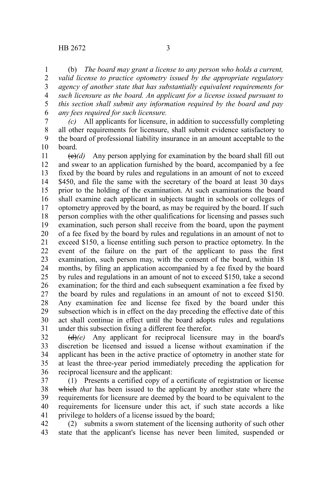(b) *The board may grant a license to any person who holds a current, valid license to practice optometry issued by the appropriate regulatory agency of another state that has substantially equivalent requirements for such licensure as the board. An applicant for a license issued pursuant to this section shall submit any information required by the board and pay any fees required for such licensure.* 1 2 3 4 5 6

*(c)* All applicants for licensure, in addition to successfully completing all other requirements for licensure, shall submit evidence satisfactory to the board of professional liability insurance in an amount acceptable to the board. 7 8 9 10

 $\left(\frac{e}{e}\right)$  Any person applying for examination by the board shall fill out and swear to an application furnished by the board, accompanied by a fee fixed by the board by rules and regulations in an amount of not to exceed \$450, and file the same with the secretary of the board at least 30 days prior to the holding of the examination. At such examinations the board shall examine each applicant in subjects taught in schools or colleges of optometry approved by the board, as may be required by the board. If such person complies with the other qualifications for licensing and passes such examination, such person shall receive from the board, upon the payment of a fee fixed by the board by rules and regulations in an amount of not to exceed \$150, a license entitling such person to practice optometry. In the event of the failure on the part of the applicant to pass the first examination, such person may, with the consent of the board, within 18 months, by filing an application accompanied by a fee fixed by the board by rules and regulations in an amount of not to exceed \$150, take a second examination; for the third and each subsequent examination a fee fixed by the board by rules and regulations in an amount of not to exceed \$150. Any examination fee and license fee fixed by the board under this subsection which is in effect on the day preceding the effective date of this act shall continue in effect until the board adopts rules and regulations under this subsection fixing a different fee therefor. 11 12 13 14 15 16 17 18 19 20 21 22 23 24 25 26 27 28 29 30 31

(d)*(e)* Any applicant for reciprocal licensure may in the board's discretion be licensed and issued a license without examination if the applicant has been in the active practice of optometry in another state for at least the three-year period immediately preceding the application for reciprocal licensure and the applicant: 32 33 34 35 36

(1) Presents a certified copy of a certificate of registration or license which *that* has been issued to the applicant by another state where the requirements for licensure are deemed by the board to be equivalent to the requirements for licensure under this act, if such state accords a like privilege to holders of a license issued by the board; 37 38 39 40 41

(2) submits a sworn statement of the licensing authority of such other state that the applicant's license has never been limited, suspended or 42 43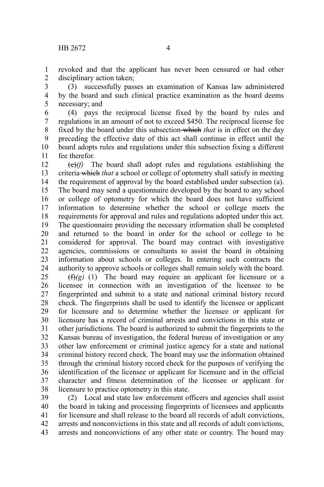revoked and that the applicant has never been censured or had other disciplinary action taken; 1 2

(3) successfully passes an examination of Kansas law administered by the board and such clinical practice examination as the board deems necessary; and 3 4 5

(4) pays the reciprocal license fixed by the board by rules and regulations in an amount of not to exceed \$450. The reciprocal license fee fixed by the board under this subsection which *that* is in effect on the day preceding the effective date of this act shall continue in effect until the board adopts rules and regulations under this subsection fixing a different fee therefor. 6 7 8 9 10 11

(e)*(f)* The board shall adopt rules and regulations establishing the criteria which *that* a school or college of optometry shall satisfy in meeting the requirement of approval by the board established under subsection (a). The board may send a questionnaire developed by the board to any school or college of optometry for which the board does not have sufficient information to determine whether the school or college meets the requirements for approval and rules and regulations adopted under this act. The questionnaire providing the necessary information shall be completed and returned to the board in order for the school or college to be considered for approval. The board may contract with investigative agencies, commissions or consultants to assist the board in obtaining information about schools or colleges. In entering such contracts the authority to approve schools or colleges shall remain solely with the board. 12 13 14 15 16 17 18 19 20 21 22 23 24

 $(f(x)(g)$  (1) The board may require an applicant for licensure or a licensee in connection with an investigation of the licensee to be fingerprinted and submit to a state and national criminal history record check. The fingerprints shall be used to identify the licensee or applicant for licensure and to determine whether the licensee or applicant for licensure has a record of criminal arrests and convictions in this state or other jurisdictions. The board is authorized to submit the fingerprints to the Kansas bureau of investigation, the federal bureau of investigation or any other law enforcement or criminal justice agency for a state and national criminal history record check. The board may use the information obtained through the criminal history record check for the purposes of verifying the identification of the licensee or applicant for licensure and in the official character and fitness determination of the licensee or applicant for licensure to practice optometry in this state. 25 26 27 28 29 30 31 32 33 34 35 36 37 38

(2) Local and state law enforcement officers and agencies shall assist the board in taking and processing fingerprints of licensees and applicants for licensure and shall release to the board all records of adult convictions, arrests and nonconvictions in this state and all records of adult convictions, arrests and nonconvictions of any other state or country. The board may 39 40 41 42 43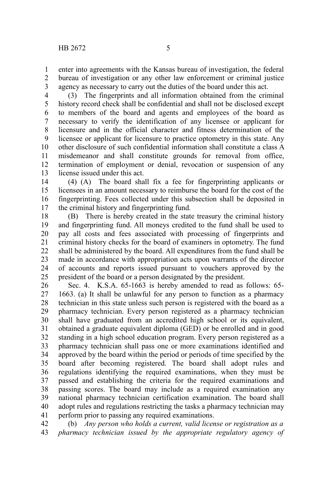enter into agreements with the Kansas bureau of investigation, the federal bureau of investigation or any other law enforcement or criminal justice agency as necessary to carry out the duties of the board under this act. 1 2 3

(3) The fingerprints and all information obtained from the criminal history record check shall be confidential and shall not be disclosed except to members of the board and agents and employees of the board as necessary to verify the identification of any licensee or applicant for licensure and in the official character and fitness determination of the licensee or applicant for licensure to practice optometry in this state. Any other disclosure of such confidential information shall constitute a class A misdemeanor and shall constitute grounds for removal from office, termination of employment or denial, revocation or suspension of any license issued under this act. 4 5 6 7 8 9 10 11 12 13

(4) (A) The board shall fix a fee for fingerprinting applicants or licensees in an amount necessary to reimburse the board for the cost of the fingerprinting. Fees collected under this subsection shall be deposited in the criminal history and fingerprinting fund. 14 15 16 17

(B) There is hereby created in the state treasury the criminal history and fingerprinting fund. All moneys credited to the fund shall be used to pay all costs and fees associated with processing of fingerprints and criminal history checks for the board of examiners in optometry. The fund shall be administered by the board. All expenditures from the fund shall be made in accordance with appropriation acts upon warrants of the director of accounts and reports issued pursuant to vouchers approved by the president of the board or a person designated by the president. 18 19 20 21 22 23 24 25

Sec. 4. K.S.A. 65-1663 is hereby amended to read as follows: 65- 1663. (a) It shall be unlawful for any person to function as a pharmacy technician in this state unless such person is registered with the board as a pharmacy technician. Every person registered as a pharmacy technician shall have graduated from an accredited high school or its equivalent, obtained a graduate equivalent diploma (GED) or be enrolled and in good standing in a high school education program. Every person registered as a pharmacy technician shall pass one or more examinations identified and approved by the board within the period or periods of time specified by the board after becoming registered. The board shall adopt rules and regulations identifying the required examinations, when they must be passed and establishing the criteria for the required examinations and passing scores. The board may include as a required examination any national pharmacy technician certification examination. The board shall adopt rules and regulations restricting the tasks a pharmacy technician may perform prior to passing any required examinations. 26 27 28 29 30 31 32 33 34 35 36 37 38 39 40 41

(b) *Any person who holds a current, valid license or registration as a pharmacy technician issued by the appropriate regulatory agency of* 42 43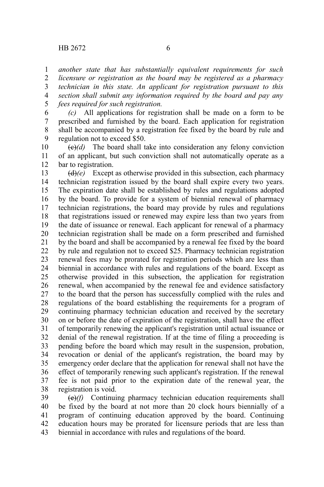1

*another state that has substantially equivalent requirements for such*

*licensure or registration as the board may be registered as a pharmacy technician in this state. An applicant for registration pursuant to this section shall submit any information required by the board and pay any fees required for such registration.* 2 3 4 5

*(c)* All applications for registration shall be made on a form to be prescribed and furnished by the board. Each application for registration shall be accompanied by a registration fee fixed by the board by rule and regulation not to exceed \$50. 6 7 8 9

 $\left(\frac{\theta}{\theta}\right)(d)$  The board shall take into consideration any felony conviction of an applicant, but such conviction shall not automatically operate as a bar to registration. 10 11 12

(d)*(e)* Except as otherwise provided in this subsection, each pharmacy technician registration issued by the board shall expire every two years. The expiration date shall be established by rules and regulations adopted by the board. To provide for a system of biennial renewal of pharmacy technician registrations, the board may provide by rules and regulations that registrations issued or renewed may expire less than two years from the date of issuance or renewal. Each applicant for renewal of a pharmacy technician registration shall be made on a form prescribed and furnished by the board and shall be accompanied by a renewal fee fixed by the board by rule and regulation not to exceed \$25. Pharmacy technician registration renewal fees may be prorated for registration periods which are less than biennial in accordance with rules and regulations of the board. Except as otherwise provided in this subsection, the application for registration renewal, when accompanied by the renewal fee and evidence satisfactory to the board that the person has successfully complied with the rules and regulations of the board establishing the requirements for a program of continuing pharmacy technician education and received by the secretary on or before the date of expiration of the registration, shall have the effect of temporarily renewing the applicant's registration until actual issuance or denial of the renewal registration. If at the time of filing a proceeding is pending before the board which may result in the suspension, probation, revocation or denial of the applicant's registration, the board may by emergency order declare that the application for renewal shall not have the effect of temporarily renewing such applicant's registration. If the renewal fee is not paid prior to the expiration date of the renewal year, the registration is void. 13 14 15 16 17 18 19 20 21 22 23 24 25 26 27 28 29 30 31 32 33 34 35 36 37 38

(e)*(f)* Continuing pharmacy technician education requirements shall be fixed by the board at not more than 20 clock hours biennially of a program of continuing education approved by the board. Continuing education hours may be prorated for licensure periods that are less than biennial in accordance with rules and regulations of the board. 39 40 41 42 43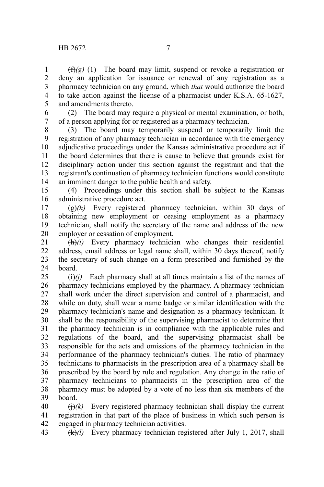$(f(x)(g)$  (1) The board may limit, suspend or revoke a registration or deny an application for issuance or renewal of any registration as a pharmacy technician on any ground, which *that* would authorize the board to take action against the license of a pharmacist under K.S.A. 65-1627, and amendments thereto. 1 2 3 4 5

(2) The board may require a physical or mental examination, or both, of a person applying for or registered as a pharmacy technician. 6 7

(3) The board may temporarily suspend or temporarily limit the registration of any pharmacy technician in accordance with the emergency adjudicative proceedings under the Kansas administrative procedure act if the board determines that there is cause to believe that grounds exist for disciplinary action under this section against the registrant and that the registrant's continuation of pharmacy technician functions would constitute an imminent danger to the public health and safety. 8 9 10 11 12 13 14

(4) Proceedings under this section shall be subject to the Kansas administrative procedure act. 15 16

(g)*(h)* Every registered pharmacy technician, within 30 days of obtaining new employment or ceasing employment as a pharmacy technician, shall notify the secretary of the name and address of the new employer or cessation of employment. 17 18 19 20

(h)*(i)* Every pharmacy technician who changes their residential address, email address or legal name shall, within 30 days thereof, notify the secretary of such change on a form prescribed and furnished by the board. 21 22 23 24

 $\left(\frac{f}{f}\right)(i)$  Each pharmacy shall at all times maintain a list of the names of pharmacy technicians employed by the pharmacy. A pharmacy technician shall work under the direct supervision and control of a pharmacist, and while on duty, shall wear a name badge or similar identification with the pharmacy technician's name and designation as a pharmacy technician. It shall be the responsibility of the supervising pharmacist to determine that the pharmacy technician is in compliance with the applicable rules and regulations of the board, and the supervising pharmacist shall be responsible for the acts and omissions of the pharmacy technician in the performance of the pharmacy technician's duties. The ratio of pharmacy technicians to pharmacists in the prescription area of a pharmacy shall be prescribed by the board by rule and regulation. Any change in the ratio of pharmacy technicians to pharmacists in the prescription area of the pharmacy must be adopted by a vote of no less than six members of the board. 25 26 27 28 29 30 31 32 33 34 35 36 37 38 39

 $\left(\frac{1}{i}\right)$  Every registered pharmacy technician shall display the current registration in that part of the place of business in which such person is engaged in pharmacy technician activities. 40 41 42

(k)*(l)* Every pharmacy technician registered after July 1, 2017, shall 43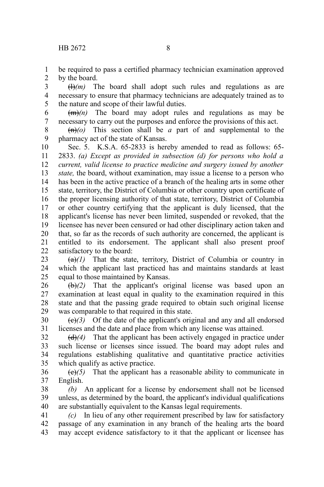be required to pass a certified pharmacy technician examination approved by the board. 1 2

 $(H)(m)$  The board shall adopt such rules and regulations as are necessary to ensure that pharmacy technicians are adequately trained as to the nature and scope of their lawful duties. 3 4 5

 $(m)$  The board may adopt rules and regulations as may be necessary to carry out the purposes and enforce the provisions of this act. 6 7

 $\left(\frac{m}{q}\right)$  This section shall be *a* part of and supplemental to the pharmacy act of the state of Kansas. 8 9

Sec. 5. K.S.A. 65-2833 is hereby amended to read as follows: 65- 2833. *(a) Except as provided in subsection (d) for persons who hold a current, valid license to practice medicine and surgery issued by another state,* the board, without examination, may issue a license to a person who has been in the active practice of a branch of the healing arts in some other state, territory, the District of Columbia or other country upon certificate of the proper licensing authority of that state, territory, District of Columbia or other country certifying that the applicant is duly licensed, that the applicant's license has never been limited, suspended or revoked, that the licensee has never been censured or had other disciplinary action taken and that, so far as the records of such authority are concerned, the applicant is entitled to its endorsement. The applicant shall also present proof satisfactory to the board: 10 11 12 13 14 15 16 17 18 19 20 21 22

 $(a)$ <sup>(a)</sup>) That the state, territory, District of Columbia or country in which the applicant last practiced has and maintains standards at least equal to those maintained by Kansas. 23 24 25

(b)*(2)* That the applicant's original license was based upon an examination at least equal in quality to the examination required in this state and that the passing grade required to obtain such original license was comparable to that required in this state. 26 27 28 29

 $(e)(3)$  Of the date of the applicant's original and any and all endorsed licenses and the date and place from which any license was attained. 30 31

(d)*(4)* That the applicant has been actively engaged in practice under such license or licenses since issued. The board may adopt rules and regulations establishing qualitative and quantitative practice activities which qualify as active practice. 32 33 34 35

 $(e)(5)$  That the applicant has a reasonable ability to communicate in English. 36 37

*(b)* An applicant for a license by endorsement shall not be licensed unless, as determined by the board, the applicant's individual qualifications are substantially equivalent to the Kansas legal requirements. 38 39 40

*(c)* In lieu of any other requirement prescribed by law for satisfactory passage of any examination in any branch of the healing arts the board may accept evidence satisfactory to it that the applicant or licensee has 41 42 43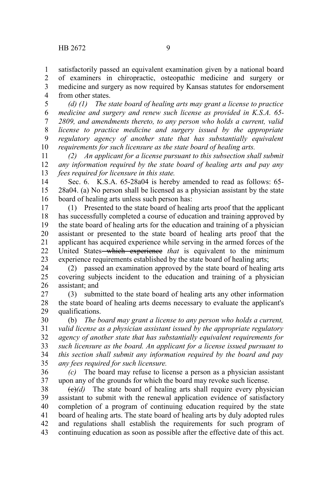satisfactorily passed an equivalent examination given by a national board of examiners in chiropractic, osteopathic medicine and surgery or medicine and surgery as now required by Kansas statutes for endorsement from other states. 1 2 3 4

*(d) (1) The state board of healing arts may grant a license to practice medicine and surgery and renew such license as provided in K.S.A. 65- 2809, and amendments thereto, to any person who holds a current, valid license to practice medicine and surgery issued by the appropriate regulatory agency of another state that has substantially equivalent requirements for such licensure as the state board of healing arts.* 5 6 7 8 9 10

*(2) An applicant for a license pursuant to this subsection shall submit any information required by the state board of healing arts and pay any fees required for licensure in this state.* 11 12 13

Sec. 6. K.S.A. 65-28a04 is hereby amended to read as follows: 65- 28a04. (a) No person shall be licensed as a physician assistant by the state board of healing arts unless such person has: 14 15 16

(1) Presented to the state board of healing arts proof that the applicant has successfully completed a course of education and training approved by the state board of healing arts for the education and training of a physician assistant or presented to the state board of healing arts proof that the applicant has acquired experience while serving in the armed forces of the United States which experience *that* is equivalent to the minimum experience requirements established by the state board of healing arts; 17 18 19 20 21 22 23

(2) passed an examination approved by the state board of healing arts covering subjects incident to the education and training of a physician assistant; and 24 25 26

(3) submitted to the state board of healing arts any other information the state board of healing arts deems necessary to evaluate the applicant's qualifications. 27 28 29

(b) *The board may grant a license to any person who holds a current, valid license as a physician assistant issued by the appropriate regulatory agency of another state that has substantially equivalent requirements for such licensure as the board. An applicant for a license issued pursuant to this section shall submit any information required by the board and pay any fees required for such licensure.* 30 31 32 33 34 35

*(c)* The board may refuse to license a person as a physician assistant upon any of the grounds for which the board may revoke such license. 36 37

 $\left(\frac{e}{e}\right)(d)$  The state board of healing arts shall require every physician assistant to submit with the renewal application evidence of satisfactory completion of a program of continuing education required by the state board of healing arts. The state board of healing arts by duly adopted rules and regulations shall establish the requirements for such program of continuing education as soon as possible after the effective date of this act. 38 39 40 41 42 43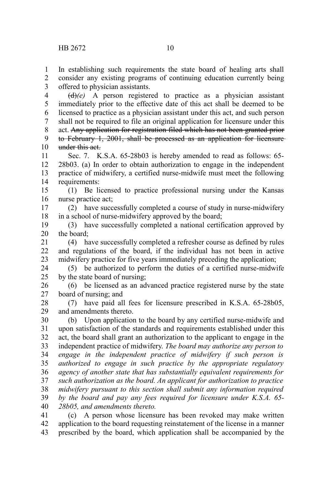1 2 In establishing such requirements the state board of healing arts shall consider any existing programs of continuing education currently being

offered to physician assistants. 3

(d)*(e)* A person registered to practice as a physician assistant immediately prior to the effective date of this act shall be deemed to be licensed to practice as a physician assistant under this act, and such person shall not be required to file an original application for licensure under this act. Any application for registration filed which has not been granted prior to February 1, 2001, shall be processed as an application for licensure under this act. 4 5 6 7 8 9 10

Sec. 7. K.S.A. 65-28b03 is hereby amended to read as follows: 65- 28b03. (a) In order to obtain authorization to engage in the independent practice of midwifery, a certified nurse-midwife must meet the following requirements: 11 12 13 14

(1) Be licensed to practice professional nursing under the Kansas nurse practice act; 15 16

(2) have successfully completed a course of study in nurse-midwifery in a school of nurse-midwifery approved by the board; 17 18

(3) have successfully completed a national certification approved by the board; 19 20

(4) have successfully completed a refresher course as defined by rules and regulations of the board, if the individual has not been in active midwifery practice for five years immediately preceding the application; 21 22 23

(5) be authorized to perform the duties of a certified nurse-midwife by the state board of nursing; 24 25

(6) be licensed as an advanced practice registered nurse by the state board of nursing; and 26 27

(7) have paid all fees for licensure prescribed in K.S.A. 65-28b05, and amendments thereto. 28 29

(b) Upon application to the board by any certified nurse-midwife and upon satisfaction of the standards and requirements established under this act, the board shall grant an authorization to the applicant to engage in the independent practice of midwifery. *The board may authorize any person to engage in the independent practice of midwifery if such person is authorized to engage in such practice by the appropriate regulatory agency of another state that has substantially equivalent requirements for such authorization as the board. An applicant for authorization to practice midwifery pursuant to this section shall submit any information required by the board and pay any fees required for licensure under K.S.A. 65- 28b05, and amendments thereto.* 30 31 32 33 34 35 36 37 38 39 40

(c) A person whose licensure has been revoked may make written application to the board requesting reinstatement of the license in a manner prescribed by the board, which application shall be accompanied by the 41 42 43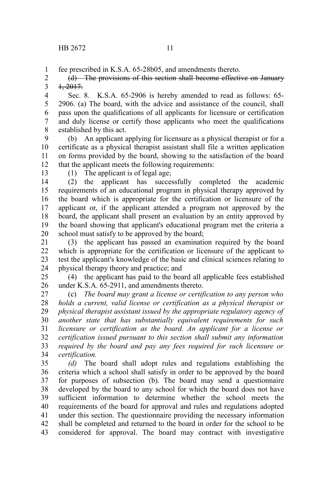fee prescribed in K.S.A. 65-28b05, and amendments thereto. 1

(d) The provisions of this section shall become effective on January 1, 2017. 2 3

Sec. 8. K.S.A. 65-2906 is hereby amended to read as follows: 65- 2906. (a) The board, with the advice and assistance of the council, shall pass upon the qualifications of all applicants for licensure or certification and duly license or certify those applicants who meet the qualifications established by this act. 4 5 6 7 8

(b) An applicant applying for licensure as a physical therapist or for a certificate as a physical therapist assistant shall file a written application on forms provided by the board, showing to the satisfaction of the board that the applicant meets the following requirements: 9 10 11 12

13

(1) The applicant is of legal age;

(2) the applicant has successfully completed the academic requirements of an educational program in physical therapy approved by the board which is appropriate for the certification or licensure of the applicant or, if the applicant attended a program not approved by the board, the applicant shall present an evaluation by an entity approved by the board showing that applicant's educational program met the criteria a school must satisfy to be approved by the board; 14 15 16 17 18 19 20

(3) the applicant has passed an examination required by the board which is appropriate for the certification or licensure of the applicant to test the applicant's knowledge of the basic and clinical sciences relating to physical therapy theory and practice; and 21 22 23 24

(4) the applicant has paid to the board all applicable fees established under K.S.A. 65-2911, and amendments thereto. 25 26

(c) *The board may grant a license or certification to any person who holds a current, valid license or certification as a physical therapist or physical therapist assistant issued by the appropriate regulatory agency of another state that has substantially equivalent requirements for such licensure or certification as the board. An applicant for a license or certification issued pursuant to this section shall submit any information required by the board and pay any fees required for such licensure or certification.* 27 28 29 30 31 32 33 34

*(d)* The board shall adopt rules and regulations establishing the criteria which a school shall satisfy in order to be approved by the board for purposes of subsection (b). The board may send a questionnaire developed by the board to any school for which the board does not have sufficient information to determine whether the school meets the requirements of the board for approval and rules and regulations adopted under this section. The questionnaire providing the necessary information shall be completed and returned to the board in order for the school to be considered for approval. The board may contract with investigative 35 36 37 38 39 40 41 42 43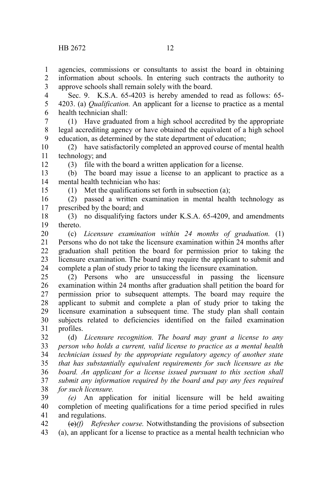12

15

agencies, commissions or consultants to assist the board in obtaining information about schools. In entering such contracts the authority to approve schools shall remain solely with the board. 1 2 3

Sec. 9. K.S.A. 65-4203 is hereby amended to read as follows: 65- 4203. (a) *Qualification.* An applicant for a license to practice as a mental health technician shall: 4 5 6

(1) Have graduated from a high school accredited by the appropriate legal accrediting agency or have obtained the equivalent of a high school education, as determined by the state department of education; 7 8 9

(2) have satisfactorily completed an approved course of mental health technology; and 10 11

(3) file with the board a written application for a license.

(b) The board may issue a license to an applicant to practice as a mental health technician who has: 13 14

(1) Met the qualifications set forth in subsection (a);

(2) passed a written examination in mental health technology as prescribed by the board; and 16 17

(3) no disqualifying factors under K.S.A. 65-4209, and amendments thereto. 18 19

(c) *Licensure examination within 24 months of graduation.* (1) Persons who do not take the licensure examination within 24 months after graduation shall petition the board for permission prior to taking the licensure examination. The board may require the applicant to submit and complete a plan of study prior to taking the licensure examination. 20 21 22 23 24

(2) Persons who are unsuccessful in passing the licensure examination within 24 months after graduation shall petition the board for permission prior to subsequent attempts. The board may require the applicant to submit and complete a plan of study prior to taking the licensure examination a subsequent time. The study plan shall contain subjects related to deficiencies identified on the failed examination profiles. 25 26 27 28 29 30 31

(d) *Licensure recognition. The board may grant a license to any person who holds a current, valid license to practice as a mental health technician issued by the appropriate regulatory agency of another state that has substantially equivalent requirements for such licensure as the board. An applicant for a license issued pursuant to this section shall submit any information required by the board and pay any fees required for such licensure.* 32 33 34 35 36 37 38

*(e)* An application for initial licensure will be held awaiting completion of meeting qualifications for a time period specified in rules and regulations. 39 40 41

(e)*(f) Refresher course.* Notwithstanding the provisions of subsection (a), an applicant for a license to practice as a mental health technician who 42 43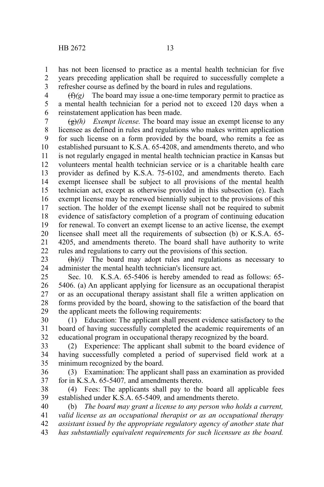has not been licensed to practice as a mental health technician for five years preceding application shall be required to successfully complete a refresher course as defined by the board in rules and regulations. 1 2 3

 $(f(x))$  The board may issue a one-time temporary permit to practice as a mental health technician for a period not to exceed 120 days when a reinstatement application has been made. 4 5 6

(g)*(h) Exempt license.* The board may issue an exempt license to any licensee as defined in rules and regulations who makes written application for such license on a form provided by the board, who remits a fee as established pursuant to K.S.A. 65-4208, and amendments thereto, and who is not regularly engaged in mental health technician practice in Kansas but volunteers mental health technician service or is a charitable health care provider as defined by K.S.A. 75-6102, and amendments thereto. Each exempt licensee shall be subject to all provisions of the mental health technician act, except as otherwise provided in this subsection (e). Each exempt license may be renewed biennially subject to the provisions of this section. The holder of the exempt license shall not be required to submit evidence of satisfactory completion of a program of continuing education for renewal. To convert an exempt license to an active license, the exempt licensee shall meet all the requirements of subsection (b) or K.S.A. 65- 4205, and amendments thereto. The board shall have authority to write rules and regulations to carry out the provisions of this section. 7 8 9 10 11 12 13 14 15 16 17 18 19 20 21 22

 $\frac{f(h)}{i}$  The board may adopt rules and regulations as necessary to administer the mental health technician's licensure act. 23 24

Sec. 10. K.S.A. 65-5406 is hereby amended to read as follows: 65- 5406. (a) An applicant applying for licensure as an occupational therapist or as an occupational therapy assistant shall file a written application on forms provided by the board, showing to the satisfaction of the board that the applicant meets the following requirements: 25 26 27 28 29

(1) Education: The applicant shall present evidence satisfactory to the board of having successfully completed the academic requirements of an educational program in occupational therapy recognized by the board. 30 31 32

(2) Experience: The applicant shall submit to the board evidence of having successfully completed a period of supervised field work at a minimum recognized by the board. 33 34 35

(3) Examination: The applicant shall pass an examination as provided for in K.S.A. 65-5407*,* and amendments thereto. 36 37

(4) Fees: The applicants shall pay to the board all applicable fees established under K.S.A. 65-5409*,* and amendments thereto. 38 39

(b) *The board may grant a license to any person who holds a current, valid license as an occupational therapist or as an occupational therapy* 40 41

- *assistant issued by the appropriate regulatory agency of another state that* 42
- *has substantially equivalent requirements for such licensure as the board.* 43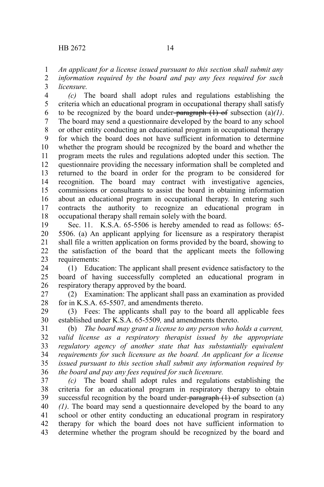*An applicant for a license issued pursuant to this section shall submit any information required by the board and pay any fees required for such licensure.* 1 2 3

*(c)* The board shall adopt rules and regulations establishing the criteria which an educational program in occupational therapy shall satisfy to be recognized by the board under-paragraph  $(1)$  of subsection  $(a)/1$ . The board may send a questionnaire developed by the board to any school or other entity conducting an educational program in occupational therapy for which the board does not have sufficient information to determine whether the program should be recognized by the board and whether the program meets the rules and regulations adopted under this section. The questionnaire providing the necessary information shall be completed and returned to the board in order for the program to be considered for recognition. The board may contract with investigative agencies, commissions or consultants to assist the board in obtaining information about an educational program in occupational therapy. In entering such contracts the authority to recognize an educational program in occupational therapy shall remain solely with the board. 4 5 6 7 8 9 10 11 12 13 14 15 16 17 18

Sec. 11. K.S.A. 65-5506 is hereby amended to read as follows: 65- 5506. (a) An applicant applying for licensure as a respiratory therapist shall file a written application on forms provided by the board, showing to the satisfaction of the board that the applicant meets the following requirements: 19 20 21 22 23

(1) Education: The applicant shall present evidence satisfactory to the board of having successfully completed an educational program in respiratory therapy approved by the board. 24 25 26

(2) Examination: The applicant shall pass an examination as provided for in K.S.A. 65-5507*,* and amendments thereto. 27 28

(3) Fees: The applicants shall pay to the board all applicable fees established under K.S.A. 65-5509*,* and amendments thereto. 29 30

(b) *The board may grant a license to any person who holds a current, valid license as a respiratory therapist issued by the appropriate regulatory agency of another state that has substantially equivalent requirements for such licensure as the board. An applicant for a license issued pursuant to this section shall submit any information required by the board and pay any fees required for such licensure.* 31 32 33 34 35 36

*(c)* The board shall adopt rules and regulations establishing the criteria for an educational program in respiratory therapy to obtain successful recognition by the board under- $\frac{1}{2}$  are  $\frac{1}{2}$  of subsection (a) *(1)*. The board may send a questionnaire developed by the board to any school or other entity conducting an educational program in respiratory therapy for which the board does not have sufficient information to determine whether the program should be recognized by the board and 37 38 39 40 41 42 43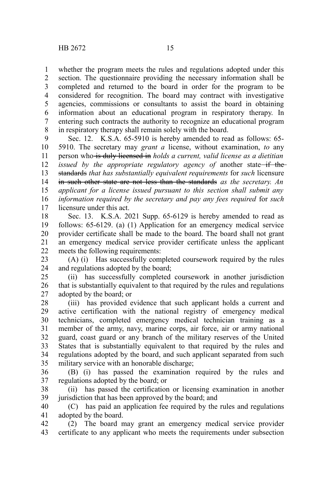whether the program meets the rules and regulations adopted under this section. The questionnaire providing the necessary information shall be completed and returned to the board in order for the program to be considered for recognition. The board may contract with investigative agencies, commissions or consultants to assist the board in obtaining information about an educational program in respiratory therapy. In entering such contracts the authority to recognize an educational program in respiratory therapy shall remain solely with the board. 1 2 3 4 5 6 7 8

Sec. 12. K.S.A. 65-5910 is hereby amended to read as follows: 65- 5910. The secretary may *grant a* license, without examination, *to* any person who is duly licensed in *holds a current, valid license as a dietitian issued by the appropriate regulatory agency of another state–if the–* standards *that has substantially equivalent requirements* for *such* licensure in such other state are not less than the standards *as the secretary. An applicant for a license issued pursuant to this section shall submit any information required by the secretary and pay any fees required* for *such* licensure under this act. 9 10 11 12 13 14 15 16 17

Sec. 13. K.S.A. 2021 Supp. 65-6129 is hereby amended to read as follows: 65-6129. (a) (1) Application for an emergency medical service provider certificate shall be made to the board. The board shall not grant an emergency medical service provider certificate unless the applicant meets the following requirements: 18 19 20 21 22

(A) (i) Has successfully completed coursework required by the rules and regulations adopted by the board; 23 24

(ii) has successfully completed coursework in another jurisdiction that is substantially equivalent to that required by the rules and regulations adopted by the board; or 25 26 27

(iii) has provided evidence that such applicant holds a current and active certification with the national registry of emergency medical technicians, completed emergency medical technician training as a member of the army, navy, marine corps, air force, air or army national guard, coast guard or any branch of the military reserves of the United States that is substantially equivalent to that required by the rules and regulations adopted by the board, and such applicant separated from such military service with an honorable discharge; 28 29 30 31 32 33 34 35

(B) (i) has passed the examination required by the rules and regulations adopted by the board; or 36 37

(ii) has passed the certification or licensing examination in another jurisdiction that has been approved by the board; and 38 39

(C) has paid an application fee required by the rules and regulations adopted by the board. 40 41

(2) The board may grant an emergency medical service provider certificate to any applicant who meets the requirements under subsection 42 43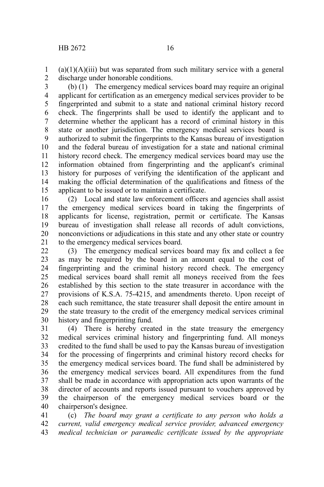$(a)(1)(A)(iii)$  but was separated from such military service with a general discharge under honorable conditions. 1 2

3

(b) (1) The emergency medical services board may require an original applicant for certification as an emergency medical services provider to be fingerprinted and submit to a state and national criminal history record check. The fingerprints shall be used to identify the applicant and to determine whether the applicant has a record of criminal history in this state or another jurisdiction. The emergency medical services board is authorized to submit the fingerprints to the Kansas bureau of investigation and the federal bureau of investigation for a state and national criminal history record check. The emergency medical services board may use the information obtained from fingerprinting and the applicant's criminal history for purposes of verifying the identification of the applicant and making the official determination of the qualifications and fitness of the applicant to be issued or to maintain a certificate. 4 5 6 7 8 9 10 11 12 13 14 15

(2) Local and state law enforcement officers and agencies shall assist the emergency medical services board in taking the fingerprints of applicants for license, registration, permit or certificate. The Kansas bureau of investigation shall release all records of adult convictions, nonconvictions or adjudications in this state and any other state or country to the emergency medical services board. 16 17 18 19 20 21

(3) The emergency medical services board may fix and collect a fee as may be required by the board in an amount equal to the cost of fingerprinting and the criminal history record check. The emergency medical services board shall remit all moneys received from the fees established by this section to the state treasurer in accordance with the provisions of K.S.A. 75-4215, and amendments thereto. Upon receipt of each such remittance, the state treasurer shall deposit the entire amount in the state treasury to the credit of the emergency medical services criminal history and fingerprinting fund.  $22$ 23 24 25 26 27 28 29 30

(4) There is hereby created in the state treasury the emergency medical services criminal history and fingerprinting fund. All moneys credited to the fund shall be used to pay the Kansas bureau of investigation for the processing of fingerprints and criminal history record checks for the emergency medical services board. The fund shall be administered by the emergency medical services board. All expenditures from the fund shall be made in accordance with appropriation acts upon warrants of the director of accounts and reports issued pursuant to vouchers approved by the chairperson of the emergency medical services board or the chairperson's designee. 31 32 33 34 35 36 37 38 39 40

(c) *The board may grant a certificate to any person who holds a current, valid emergency medical service provider, advanced emergency medical technician or paramedic certificate issued by the appropriate* 41 42 43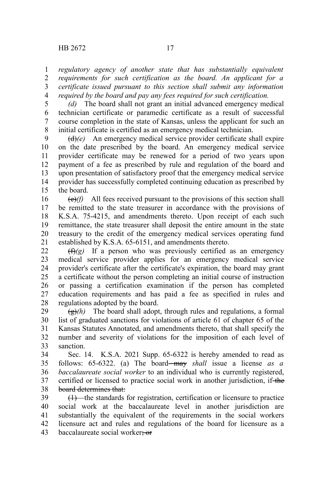*regulatory agency of another state that has substantially equivalent requirements for such certification as the board. An applicant for a certificate issued pursuant to this section shall submit any information required by the board and pay any fees required for such certification.* 1 2 3 4

5

*(d)* The board shall not grant an initial advanced emergency medical technician certificate or paramedic certificate as a result of successful course completion in the state of Kansas, unless the applicant for such an initial certificate is certified as an emergency medical technician. 6 7 8

(d)*(e)* An emergency medical service provider certificate shall expire on the date prescribed by the board. An emergency medical service provider certificate may be renewed for a period of two years upon payment of a fee as prescribed by rule and regulation of the board and upon presentation of satisfactory proof that the emergency medical service provider has successfully completed continuing education as prescribed by the board. 9 10 11 12 13 14 15

(e)*(f)* All fees received pursuant to the provisions of this section shall be remitted to the state treasurer in accordance with the provisions of K.S.A. 75-4215, and amendments thereto. Upon receipt of each such remittance, the state treasurer shall deposit the entire amount in the state treasury to the credit of the emergency medical services operating fund established by K.S.A. 65-6151, and amendments thereto. 16 17 18 19 20 21

 $(f(x))^2$  If a person who was previously certified as an emergency medical service provider applies for an emergency medical service provider's certificate after the certificate's expiration, the board may grant a certificate without the person completing an initial course of instruction or passing a certification examination if the person has completed education requirements and has paid a fee as specified in rules and regulations adopted by the board.  $22$ 23 24 25 26 27 28

 $\left(\frac{g}{g}\right)$  The board shall adopt, through rules and regulations, a formal list of graduated sanctions for violations of article 61 of chapter 65 of the Kansas Statutes Annotated, and amendments thereto, that shall specify the number and severity of violations for the imposition of each level of sanction. 29 30 31 32 33

Sec. 14. K.S.A. 2021 Supp. 65-6322 is hereby amended to read as follows: 65-6322. (a) The board may *shall* issue a license *as a baccalaureate social worker* to an individual who is currently registered, certified or licensed to practice social work in another jurisdiction, if the board determines that: 34 35 36 37 38

(1) the standards for registration, certification or licensure to practice social work at the baccalaureate level in another jurisdiction are substantially the equivalent of the requirements in the social workers licensure act and rules and regulations of the board for licensure as a baccalaureate social worker; or 39 40 41 42 43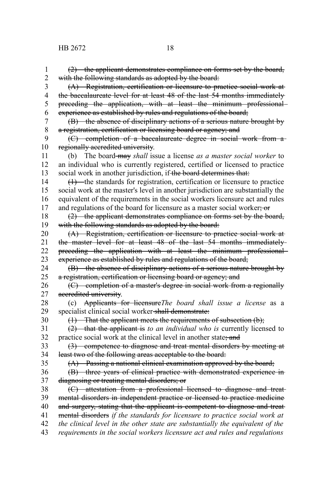(2) the applicant demonstrates compliance on forms set by the board, with the following standards as adopted by the board: (A) Registration, certification or licensure to practice social work at the baccalaureate level for at least 48 of the last 54 months immediately preceding the application, with at least the minimum professional experience as established by rules and regulations of the board; (B) the absence of disciplinary actions of a serious nature brought by a registration, certification or licensing board or agency; and (C) completion of a baccalaureate degree in social work from a regionally accredited university. (b) The board may *shall* issue a license *as a master social worker* to an individual who is currently registered, certified or licensed to practice social work in another jurisdiction, if the board determines that:  $(1)$  the standards for registration, certification or licensure to practice social work at the master's level in another jurisdiction are substantially the equivalent of the requirements in the social workers licensure act and rules and regulations of the board for licensure as a master social worker; or (2) the applicant demonstrates compliance on forms set by the board, with the following standards as adopted by the board: (A) Registration, certification or licensure to practice social work at the master level for at least 48 of the last 54 months immediately preceding the application with at least the minimum professional experience as established by rules and regulations of the board; (B) the absence of disciplinary actions of a serious nature brought by a registration, certification or licensing board or agency; and (C) completion of a master's degree in social work from a regionally accredited university. (c) Applicants for licensure*The board shall issue a license* as a specialist clinical social worker shall demonstrate:  $(1)$  That the applicant meets the requirements of subsection  $(b)$ ; (2) that the applicant is *to an individual who is* currently licensed to practice social work at the clinical level in another state; and (3) competence to diagnose and treat mental disorders by meeting at least two of the following areas acceptable to the board: (A) Passing a national clinical examination approved by the board; (B) three years of clinical practice with demonstrated experience in diagnosing or treating mental disorders; or (C) attestation from a professional licensed to diagnose and treat mental disorders in independent practice or licensed to practice medicine and surgery, stating that the applicant is competent to diagnose and treat mental disorders *if the standards for licensure to practice social work at the clinical level in the other state are substantially the equivalent of the requirements in the social workers licensure act and rules and regulations* 1 2 3 4 5 6 7 8 9 10 11 12 13 14 15 16 17 18 19 20 21 22 23 24 25 26 27 28 29 30 31 32 33 34 35 36 37 38 39 40 41 42 43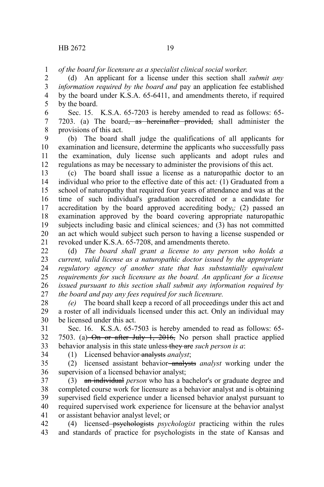*of the board for licensure as a specialist clinical social worker*. 1

(d) An applicant for a license under this section shall *submit any information required by the board and* pay an application fee established by the board under K.S.A. 65-6411, and amendments thereto, if required by the board. 2 3 4 5

Sec. 15. K.S.A. 65-7203 is hereby amended to read as follows: 65- 7203. (a) The board<del>, as hereinafter provided,</del> shall administer the provisions of this act. 6 7 8

(b) The board shall judge the qualifications of all applicants for examination and licensure, determine the applicants who successfully pass the examination, duly license such applicants and adopt rules and regulations as may be necessary to administer the provisions of this act. 9 10 11 12

(c) The board shall issue a license as a naturopathic doctor to an individual who prior to the effective date of this act*:* (1) Graduated from a school of naturopathy that required four years of attendance and was at the time of such individual's graduation accredited or a candidate for accreditation by the board approved accrediting body,*;* (2) passed an examination approved by the board covering appropriate naturopathic subjects including basic and clinical sciences*;* and (3) has not committed an act which would subject such person to having a license suspended or revoked under K.S.A. 65-7208, and amendments thereto. 13 14 15 16 17 18 19 20 21

(d) *The board shall grant a license to any person who holds a current, valid license as a naturopathic doctor issued by the appropriate regulatory agency of another state that has substantially equivalent requirements for such licensure as the board. An applicant for a license issued pursuant to this section shall submit any information required by the board and pay any fees required for such licensure.* 22 23 24 25 26 27

*(e)* The board shall keep a record of all proceedings under this act and a roster of all individuals licensed under this act. Only an individual may be licensed under this act. 28 29 30

Sec. 16. K.S.A. 65-7503 is hereby amended to read as follows: 65- 7503. (a) On or after July 1, 2016, No person shall practice applied behavior analysis in this state unless they are *such person is a*: 31 32 33

34

(1) Licensed behavior analysts *analyst*;

(2) licensed assistant behavior analysts *analyst* working under the supervision of a licensed behavior analyst; 35 36

(3) an individual *person* who has a bachelor's or graduate degree and completed course work for licensure as a behavior analyst and is obtaining supervised field experience under a licensed behavior analyst pursuant to required supervised work experience for licensure at the behavior analyst or assistant behavior analyst level; or 37 38 39 40 41

(4) licensed psychologists *psychologist* practicing within the rules and standards of practice for psychologists in the state of Kansas and 42 43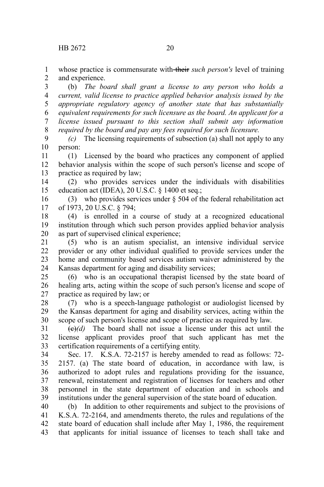whose practice is commensurate with their *such person's* level of training and experience. 1 2

(b) *The board shall grant a license to any person who holds a current, valid license to practice applied behavior analysis issued by the appropriate regulatory agency of another state that has substantially equivalent requirements for such licensure as the board. An applicant for a license issued pursuant to this section shall submit any information required by the board and pay any fees required for such licensure.* 3 4 5 6 7 8

*(c)* The licensing requirements of subsection (a) shall not apply to any person: 9 10

(1) Licensed by the board who practices any component of applied behavior analysis within the scope of such person's license and scope of practice as required by law; 11 12 13

(2) who provides services under the individuals with disabilities education act (IDEA), 20 U.S.C. § 1400 et seq.; 14 15

(3) who provides services under § 504 of the federal rehabilitation act of 1973, 20 U.S.C. § 794; 16 17

(4) is enrolled in a course of study at a recognized educational institution through which such person provides applied behavior analysis as part of supervised clinical experience; 18 19 20

(5) who is an autism specialist, an intensive individual service provider or any other individual qualified to provide services under the home and community based services autism waiver administered by the Kansas department for aging and disability services; 21 22 23 24

(6) who is an occupational therapist licensed by the state board of healing arts, acting within the scope of such person's license and scope of practice as required by law; or 25 26 27

(7) who is a speech-language pathologist or audiologist licensed by the Kansas department for aging and disability services, acting within the scope of such person's license and scope of practice as required by law. 28 29 30

 $\left(\frac{e}{e}\right)$  The board shall not issue a license under this act until the license applicant provides proof that such applicant has met the certification requirements of a certifying entity. 31 32 33

Sec. 17. K.S.A. 72-2157 is hereby amended to read as follows: 72- 2157. (a) The state board of education, in accordance with law, is authorized to adopt rules and regulations providing for the issuance, renewal, reinstatement and registration of licenses for teachers and other personnel in the state department of education and in schools and institutions under the general supervision of the state board of education. 34 35 36 37 38 39

(b) In addition to other requirements and subject to the provisions of K.S.A. 72-2164, and amendments thereto, the rules and regulations of the state board of education shall include after May 1, 1986, the requirement that applicants for initial issuance of licenses to teach shall take and 40 41 42 43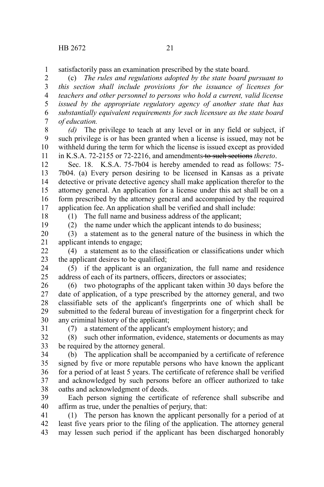satisfactorily pass an examination prescribed by the state board. 1

(c) *The rules and regulations adopted by the state board pursuant to this section shall include provisions for the issuance of licenses for teachers and other personnel to persons who hold a current, valid license issued by the appropriate regulatory agency of another state that has substantially equivalent requirements for such licensure as the state board of education.* 2 3 4 5 6 7

*(d)* The privilege to teach at any level or in any field or subject, if such privilege is or has been granted when a license is issued, may not be withheld during the term for which the license is issued except as provided in K.S.A. 72-2155 or 72-2216, and amendments to such sections *thereto*. 8 9 10 11

Sec. 18. K.S.A. 75-7b04 is hereby amended to read as follows: 75- 7b04. (a) Every person desiring to be licensed in Kansas as a private detective or private detective agency shall make application therefor to the attorney general. An application for a license under this act shall be on a form prescribed by the attorney general and accompanied by the required application fee. An application shall be verified and shall include: 12 13 14 15 16 17

18

(1) The full name and business address of the applicant;

19

(2) the name under which the applicant intends to do business;

(3) a statement as to the general nature of the business in which the applicant intends to engage; 20 21

(4) a statement as to the classification or classifications under which the applicant desires to be qualified; 22 23

(5) if the applicant is an organization, the full name and residence address of each of its partners, officers, directors or associates; 24 25

(6) two photographs of the applicant taken within 30 days before the date of application, of a type prescribed by the attorney general, and two classifiable sets of the applicant's fingerprints one of which shall be submitted to the federal bureau of investigation for a fingerprint check for any criminal history of the applicant; 26 27 28 29 30

31

(7) a statement of the applicant's employment history; and

(8) such other information, evidence, statements or documents as may be required by the attorney general. 32 33

(b) The application shall be accompanied by a certificate of reference signed by five or more reputable persons who have known the applicant for a period of at least 5 years. The certificate of reference shall be verified and acknowledged by such persons before an officer authorized to take oaths and acknowledgment of deeds. 34 35 36 37 38

Each person signing the certificate of reference shall subscribe and affirm as true, under the penalties of perjury, that: 39 40

(1) The person has known the applicant personally for a period of at least five years prior to the filing of the application. The attorney general may lessen such period if the applicant has been discharged honorably 41 42 43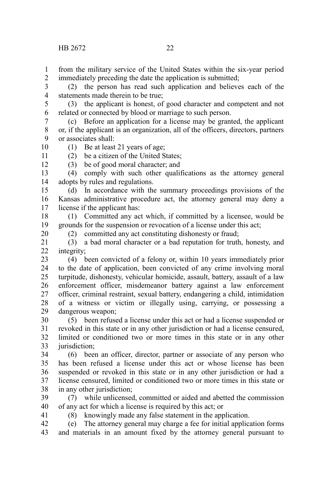10 11 12

20

41

from the military service of the United States within the six-year period immediately preceding the date the application is submitted; 1  $\mathcal{L}$ 

(2) the person has read such application and believes each of the statements made therein to be true; 3 4

(3) the applicant is honest, of good character and competent and not related or connected by blood or marriage to such person. 5 6

(c) Before an application for a license may be granted, the applicant or, if the applicant is an organization, all of the officers, directors, partners or associates shall: 7 8 9

(1) Be at least 21 years of age;

(2) be a citizen of the United States;

(3) be of good moral character; and

(4) comply with such other qualifications as the attorney general adopts by rules and regulations. 13 14

(d) In accordance with the summary proceedings provisions of the Kansas administrative procedure act, the attorney general may deny a license if the applicant has: 15 16 17

(1) Committed any act which, if committed by a licensee, would be grounds for the suspension or revocation of a license under this act; 18 19

(2) committed any act constituting dishonesty or fraud;

(3) a bad moral character or a bad reputation for truth, honesty, and integrity; 21 22

(4) been convicted of a felony or, within 10 years immediately prior to the date of application, been convicted of any crime involving moral turpitude, dishonesty, vehicular homicide, assault, battery, assault of a law enforcement officer, misdemeanor battery against a law enforcement officer, criminal restraint, sexual battery, endangering a child, intimidation of a witness or victim or illegally using, carrying, or possessing a dangerous weapon; 23 24 25 26 27 28 29

(5) been refused a license under this act or had a license suspended or revoked in this state or in any other jurisdiction or had a license censured, limited or conditioned two or more times in this state or in any other jurisdiction: 30 31 32 33

(6) been an officer, director, partner or associate of any person who has been refused a license under this act or whose license has been suspended or revoked in this state or in any other jurisdiction or had a license censured, limited or conditioned two or more times in this state or in any other jurisdiction; 34 35 36 37 38

(7) while unlicensed, committed or aided and abetted the commission of any act for which a license is required by this act; or 39 40

(8) knowingly made any false statement in the application.

(e) The attorney general may charge a fee for initial application forms and materials in an amount fixed by the attorney general pursuant to 42 43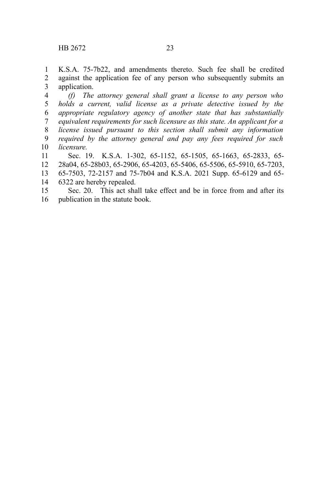K.S.A. 75-7b22, and amendments thereto. Such fee shall be credited against the application fee of any person who subsequently submits an application. 1 2 3

*(f) The attorney general shall grant a license to any person who holds a current, valid license as a private detective issued by the appropriate regulatory agency of another state that has substantially equivalent requirements for such licensure as this state. An applicant for a license issued pursuant to this section shall submit any information required by the attorney general and pay any fees required for such licensure.* 4 5 6 7 8 9 10

Sec. 19. K.S.A. 1-302, 65-1152, 65-1505, 65-1663, 65-2833, 65- 28a04, 65-28b03, 65-2906, 65-4203, 65-5406, 65-5506, 65-5910, 65-7203, 65-7503, 72-2157 and 75-7b04 and K.S.A. 2021 Supp. 65-6129 and 65- 6322 are hereby repealed. 11 12 13 14

Sec. 20. This act shall take effect and be in force from and after its publication in the statute book. 15 16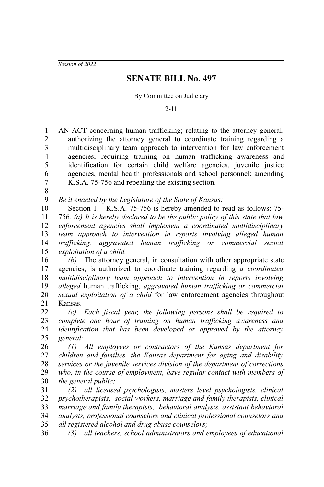*Session of 2022*

# **SENATE BILL No. 497**

By Committee on Judiciary

2-11

AN ACT concerning human trafficking; relating to the attorney general; authorizing the attorney general to coordinate training regarding a multidisciplinary team approach to intervention for law enforcement agencies; requiring training on human trafficking awareness and identification for certain child welfare agencies, juvenile justice agencies, mental health professionals and school personnel; amending K.S.A. 75-756 and repealing the existing section. 1 2 3 4 5 6 7

8

*Be it enacted by the Legislature of the State of Kansas:* 9

Section 1. K.S.A. 75-756 is hereby amended to read as follows: 75- 756. *(a) It is hereby declared to be the public policy of this state that law enforcement agencies shall implement a coordinated multidisciplinary team approach to intervention in reports involving alleged human trafficking, aggravated human trafficking or commercial sexual exploitation of a child.* 10 11 12 13 14 15

*(b)* The attorney general, in consultation with other appropriate state agencies, is authorized to coordinate training regarding *a coordinated multidisciplinary team approach to intervention in reports involving alleged* human trafficking*, aggravated human trafficking or commercial sexual exploitation of a child* for law enforcement agencies throughout Kansas. 16 17 18 19 20 21

*(c) Each fiscal year, the following persons shall be required to complete one hour of training on human trafficking awareness and identification that has been developed or approved by the attorney general:* 22 23 24 25

*(1) All employees or contractors of the Kansas department for children and families, the Kansas department for aging and disability services or the juvenile services division of the department of corrections who, in the course of employment, have regular contact with members of the general public;* 26 27 28 29 30

*(2) all licensed psychologists, masters level psychologists, clinical psychotherapists, social workers, marriage and family therapists, clinical marriage and family therapists, behavioral analysts, assistant behavioral analysts, professional counselors and clinical professional counselors and all registered alcohol and drug abuse counselors;* 31 32 33 34 35

*(3) all teachers, school administrators and employees of educational* 36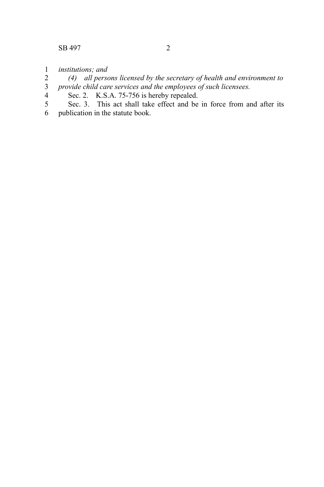- *institutions; and*  1
- *(4) all persons licensed by the secretary of health and environment to provide child care services and the employees of such licensees.* 2 3
- Sec. 2. K.S.A. 75-756 is hereby repealed. 4
- Sec. 3. This act shall take effect and be in force from and after its publication in the statute book. 5 6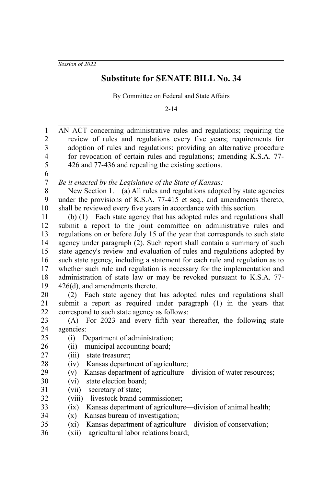*Session of 2022*

## **Substitute for SENATE BILL No. 34**

By Committee on Federal and State Affairs

2-14

AN ACT concerning administrative rules and regulations; requiring the review of rules and regulations every five years; requirements for adoption of rules and regulations; providing an alternative procedure for revocation of certain rules and regulations; amending K.S.A. 77- 426 and 77-436 and repealing the existing sections. *Be it enacted by the Legislature of the State of Kansas:* New Section 1. (a) All rules and regulations adopted by state agencies under the provisions of K.S.A. 77-415 et seq., and amendments thereto, shall be reviewed every five years in accordance with this section. (b) (1) Each state agency that has adopted rules and regulations shall submit a report to the joint committee on administrative rules and regulations on or before July 15 of the year that corresponds to such state agency under paragraph (2). Such report shall contain a summary of such state agency's review and evaluation of rules and regulations adopted by such state agency, including a statement for each rule and regulation as to whether such rule and regulation is necessary for the implementation and administration of state law or may be revoked pursuant to K.S.A. 77- 426(d), and amendments thereto. (2) Each state agency that has adopted rules and regulations shall submit a report as required under paragraph (1) in the years that correspond to such state agency as follows: (A) For 2023 and every fifth year thereafter, the following state agencies: (i) Department of administration; (ii) municipal accounting board; (iii) state treasurer; (iv) Kansas department of agriculture; (v) Kansas department of agriculture—division of water resources; (vi) state election board; (vii) secretary of state; (viii) livestock brand commissioner; (ix) Kansas department of agriculture—division of animal health; (x) Kansas bureau of investigation; (xi) Kansas department of agriculture—division of conservation; (xii) agricultural labor relations board; 1 2 3 4 5 6 7 8 9 10 11 12 13 14 15 16 17 18 19 20 21 22 23 24 25 26 27 28 29 30 31 32 33 34 35 36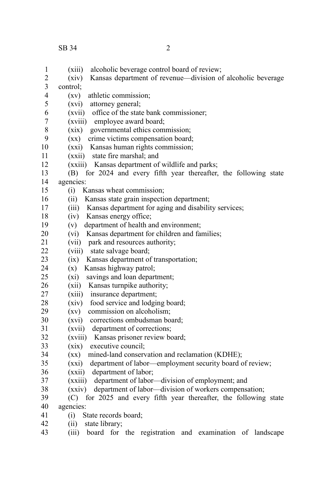| $\mathbf{1}$   | (xiii)<br>alcoholic beverage control board of review;                       |
|----------------|-----------------------------------------------------------------------------|
| $\overline{c}$ | Kansas department of revenue—division of alcoholic beverage<br>(xiv)        |
| 3              | control:                                                                    |
| $\overline{4}$ | athletic commission;<br>(xy)                                                |
| 5              | (xvi)<br>attorney general;                                                  |
| 6              | (xvii) office of the state bank commissioner;                               |
| $\overline{7}$ | (xviii) employee award board;                                               |
| 8              | governmental ethics commission;<br>(xix)                                    |
| 9              | crime victims compensation board;<br>$(\mathbf{X}\mathbf{X})$               |
| 10             | (xxi) Kansas human rights commission;                                       |
| 11             | (xxii) state fire marshal; and                                              |
| 12             | (xxiii) Kansas department of wildlife and parks;                            |
| 13             | for 2024 and every fifth year thereafter, the following state<br>(B)        |
| 14             | agencies:                                                                   |
| 15             | Kansas wheat commission;<br>(i)                                             |
| 16             | Kansas state grain inspection department;<br>(i)                            |
| 17             | (iii) Kansas department for aging and disability services;                  |
| 18             | (iv) Kansas energy office;                                                  |
| 19             | department of health and environment;<br>(v)                                |
| 20             | Kansas department for children and families;<br>(vi)                        |
| 21             | (vii) park and resources authority;                                         |
| 22             | (viii) state salvage board;                                                 |
| 23             | Kansas department of transportation;<br>(ix)                                |
| 24             | Kansas highway patrol;<br>(x)                                               |
| 25             | savings and loan department;<br>(xi)                                        |
| 26             | (xii) Kansas turnpike authority;                                            |
| 27             | (xiii) insurance department;                                                |
| 28             | (xiv) food service and lodging board;                                       |
| 29             | $\left( xy\right)$<br>commission on alcoholism;                             |
| 30             | (xvi) corrections ombudsman board;                                          |
| 31             | department of corrections;<br>(xvii)                                        |
| 32             | (xviii) Kansas prisoner review board;                                       |
| 33             | (xix) executive council;                                                    |
| 34             | mined-land conservation and reclamation (KDHE);<br>$(\mathbf{X}\mathbf{X})$ |
| 35             | department of labor-employment security board of review;<br>(xxi)           |
| 36             | (xxii) department of labor;                                                 |
| 37             | (xxiii) department of labor—division of employment; and                     |
| 38             | department of labor-division of workers compensation;<br>(xxiv)             |
| 39             | for 2025 and every fifth year thereafter, the following state<br>(C)        |
| 40             | agencies:                                                                   |
| 41             | (i)<br>State records board;                                                 |
| 42             | state library;<br>(i)                                                       |
| 43             | (iii)<br>for the registration and examination of landscape<br>board         |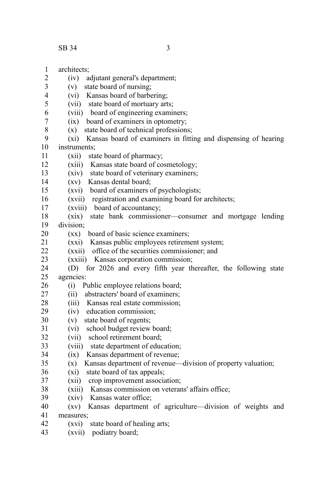- $SB$  34 34
	-
- architects; (iv) adjutant general's department; (v) state board of nursing; (vi) Kansas board of barbering; (vii) state board of mortuary arts; (viii) board of engineering examiners; (ix) board of examiners in optometry; (x) state board of technical professions; (xi) Kansas board of examiners in fitting and dispensing of hearing instruments; (xii) state board of pharmacy; (xiii) Kansas state board of cosmetology; (xiv) state board of veterinary examiners; (xv) Kansas dental board; (xvi) board of examiners of psychologists; (xvii) registration and examining board for architects; (xviii) board of accountancy; (xix) state bank commissioner—consumer and mortgage lending division; (xx) board of basic science examiners; (xxi) Kansas public employees retirement system; (xxii) office of the securities commissioner; and (xxiii) Kansas corporation commission; (D) for 2026 and every fifth year thereafter, the following state agencies: (i) Public employee relations board; (ii) abstracters' board of examiners; (iii) Kansas real estate commission; (iv) education commission; (v) state board of regents; (vi) school budget review board; (vii) school retirement board; (viii) state department of education; (ix) Kansas department of revenue; (x) Kansas department of revenue—division of property valuation; (xi) state board of tax appeals; (xii) crop improvement association; (xiii) Kansas commission on veterans' affairs office; (xiv) Kansas water office; (xv) Kansas department of agriculture—division of weights and measures; (xvi) state board of healing arts; 1 2 3 4 5 6 7 8 9 10 11 12 13 14 15 16 17 18 19 20 21  $22$ 23 24 25 26 27 28 29 30 31 32 33 34 35 36 37 38 39 40 41 42
- (xvii) podiatry board; 43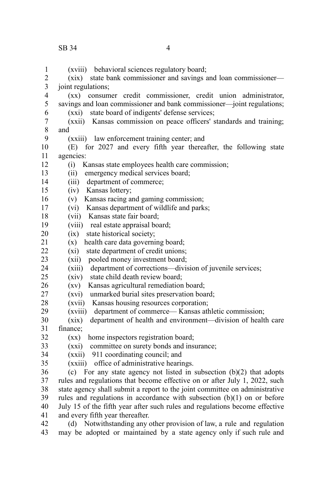(xviii) behavioral sciences regulatory board; (xix) state bank commissioner and savings and loan commissioner joint regulations; (xx) consumer credit commissioner, credit union administrator, savings and loan commissioner and bank commissioner—joint regulations; (xxi) state board of indigents' defense services; (xxii) Kansas commission on peace officers' standards and training; and (xxiii) law enforcement training center; and (E) for 2027 and every fifth year thereafter, the following state agencies: (i) Kansas state employees health care commission; (ii) emergency medical services board; (iii) department of commerce; (iv) Kansas lottery; (v) Kansas racing and gaming commission; (vi) Kansas department of wildlife and parks; (vii) Kansas state fair board; (viii) real estate appraisal board; (ix) state historical society; (x) health care data governing board; (xi) state department of credit unions; (xii) pooled money investment board; (xiii) department of corrections—division of juvenile services; (xiv) state child death review board; (xv) Kansas agricultural remediation board; (xvi) unmarked burial sites preservation board; (xvii) Kansas housing resources corporation; (xviii) department of commerce— Kansas athletic commission; (xix) department of health and environment—division of health care finance; (xx) home inspectors registration board; (xxi) committee on surety bonds and insurance; (xxii) 911 coordinating council; and (xxiii) office of administrative hearings.  $(c)$  For any state agency not listed in subsection  $(b)(2)$  that adopts rules and regulations that become effective on or after July 1, 2022, such state agency shall submit a report to the joint committee on administrative rules and regulations in accordance with subsection (b)(1) on or before July 15 of the fifth year after such rules and regulations become effective and every fifth year thereafter. (d) Notwithstanding any other provision of law, a rule and regulation may be adopted or maintained by a state agency only if such rule and 1 2 3 4 5 6 7 8 9 10 11 12 13 14 15 16 17 18 19 20 21  $22$ 23 24  $25$ 26 27 28 29 30 31 32 33 34 35 36 37 38 39 40 41 42 43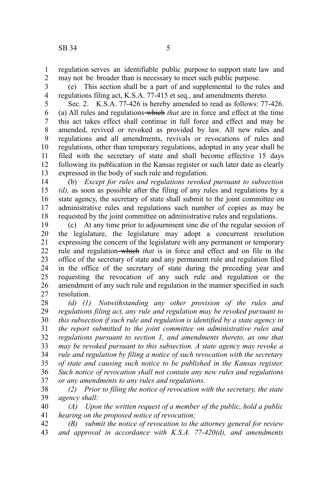regulation serves an identifiable public purpose to support state law and may not be broader than is necessary to meet such public purpose. 1 2

(e) This section shall be a part of and supplemental to the rules and regulations filing act, K.S.A. 77-415 et seq., and amendments thereto. 3 4

Sec. 2. K.S.A. 77-426 is hereby amended to read as follows: 77-426. (a) All rules and regulations which *that* are in force and effect at the time this act takes effect shall continue in full force and effect and may be amended, revived or revoked as provided by law. All new rules and regulations and all amendments, revivals or revocations of rules and regulations, other than temporary regulations, adopted in any year shall be filed with the secretary of state and shall become effective 15 days following its publication in the Kansas register or such later date as clearly expressed in the body of such rule and regulation. 5 6 7 8 9 10 11 12 13

(b) *Except for rules and regulations revoked pursuant to subsection (d),* as soon as possible after the filing of any rules and regulations by a state agency, the secretary of state shall submit to the joint committee on administrative rules and regulations such number of copies as may be requested by the joint committee on administrative rules and regulations. 14 15 16 17 18

(c) At any time prior to adjournment sine die of the regular session of the legislature, the legislature may adopt a concurrent resolution expressing the concern of the legislature with any permanent or temporary rule and regulation-which *that* is in force and effect and on file in the office of the secretary of state and any permanent rule and regulation filed in the office of the secretary of state during the preceding year and requesting the revocation of any such rule and regulation or the amendment of any such rule and regulation in the manner specified in such resolution. 19 20 21 22 23 24 25 26 27

*(d) (1) Notwithstanding any other provision of the rules and regulations filing act, any rule and regulation may be revoked pursuant to this subsection if such rule and regulation is identified by a state agency in the report submitted to the joint committee on administrative rules and regulations pursuant to section 1, and amendments thereto, as one that may be revoked pursuant to this subsection. A state agency may revoke a rule and regulation by filing a notice of such revocation with the secretary of state and causing such notice to be published in the Kansas register. Such notice of revocation shall not contain any new rules and regulations or any amendments to any rules and regulations.* 28 29 30 31 32 33 34 35 36 37

*(2) Prior to filing the notice of revocation with the secretary, the state agency shall:* 38 39

*(A) Upon the written request of a member of the public, hold a public hearing on the proposed notice of revocation;* 40 41

*(B) submit the notice of revocation to the attorney general for review and approval in accordance with K.S.A. 77-420(d), and amendments* 42 43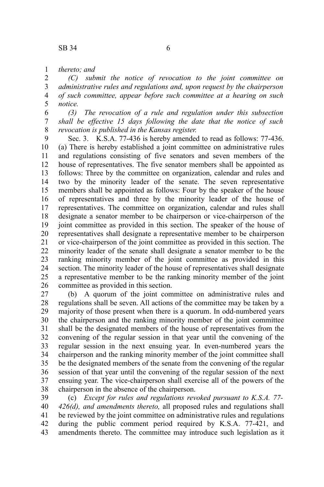*thereto; and* 1

*(C) submit the notice of revocation to the joint committee on administrative rules and regulations and, upon request by the chairperson of such committee, appear before such committee at a hearing on such notice.* 2 3 4 5

*(3) The revocation of a rule and regulation under this subsection shall be effective 15 days following the date that the notice of such revocation is published in the Kansas register.* 6 7 8

Sec. 3. K.S.A. 77-436 is hereby amended to read as follows: 77-436. (a) There is hereby established a joint committee on administrative rules and regulations consisting of five senators and seven members of the house of representatives. The five senator members shall be appointed as follows: Three by the committee on organization, calendar and rules and two by the minority leader of the senate. The seven representative members shall be appointed as follows: Four by the speaker of the house of representatives and three by the minority leader of the house of representatives. The committee on organization, calendar and rules shall designate a senator member to be chairperson or vice-chairperson of the joint committee as provided in this section. The speaker of the house of representatives shall designate a representative member to be chairperson or vice-chairperson of the joint committee as provided in this section. The minority leader of the senate shall designate a senator member to be the ranking minority member of the joint committee as provided in this section. The minority leader of the house of representatives shall designate a representative member to be the ranking minority member of the joint committee as provided in this section. 9 10 11 12 13 14 15 16 17 18 19 20 21 22 23 24 25 26

(b) A quorum of the joint committee on administrative rules and regulations shall be seven. All actions of the committee may be taken by a majority of those present when there is a quorum. In odd-numbered years the chairperson and the ranking minority member of the joint committee shall be the designated members of the house of representatives from the convening of the regular session in that year until the convening of the regular session in the next ensuing year. In even-numbered years the chairperson and the ranking minority member of the joint committee shall be the designated members of the senate from the convening of the regular session of that year until the convening of the regular session of the next ensuing year. The vice-chairperson shall exercise all of the powers of the chairperson in the absence of the chairperson. 27 28 29 30 31 32 33 34 35 36 37 38

(c) *Except for rules and regulations revoked pursuant to K.S.A. 77- 426(d), and amendments thereto,* all proposed rules and regulations shall be reviewed by the joint committee on administrative rules and regulations during the public comment period required by K.S.A. 77-421, and amendments thereto. The committee may introduce such legislation as it 39 40 41 42 43